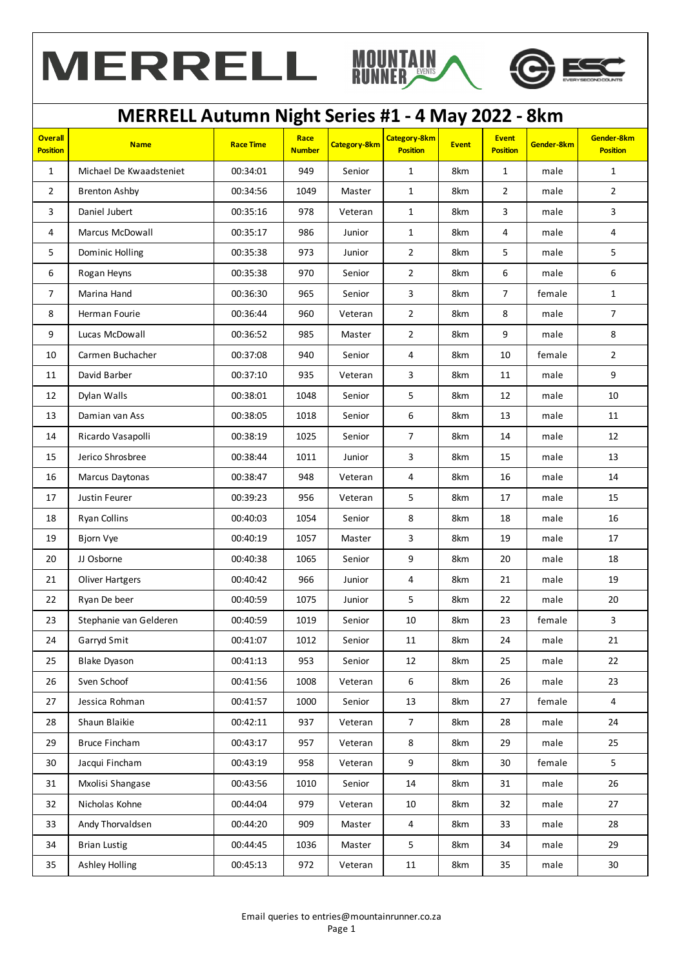





| <b>Overall</b><br><b>Position</b> | <b>Name</b>             | <b>Race Time</b> | Race<br><b>Number</b> | Category-8km | <b>Category-8km</b><br><b>Position</b> | <b>Event</b> | <b>Event</b><br><b>Position</b> | Gender-8km | Gender-8km<br><b>Position</b> |
|-----------------------------------|-------------------------|------------------|-----------------------|--------------|----------------------------------------|--------------|---------------------------------|------------|-------------------------------|
| $\mathbf{1}$                      | Michael De Kwaadsteniet | 00:34:01         | 949                   | Senior       | $\mathbf{1}$                           | 8km          | $\mathbf{1}$                    | male       | $\mathbf{1}$                  |
| $\overline{2}$                    | <b>Brenton Ashby</b>    | 00:34:56         | 1049                  | Master       | $\mathbf{1}$                           | 8km          | $\overline{2}$                  | male       | $\overline{2}$                |
| 3                                 | Daniel Jubert           | 00:35:16         | 978                   | Veteran      | $\mathbf{1}$                           | 8km          | 3                               | male       | 3                             |
| 4                                 | Marcus McDowall         | 00:35:17         | 986                   | Junior       | $\mathbf{1}$                           | 8km          | 4                               | male       | 4                             |
| 5                                 | Dominic Holling         | 00:35:38         | 973                   | Junior       | $\overline{2}$                         | 8km          | 5                               | male       | 5                             |
| 6                                 | Rogan Heyns             | 00:35:38         | 970                   | Senior       | $\overline{2}$                         | 8km          | 6                               | male       | 6                             |
| $\overline{7}$                    | Marina Hand             | 00:36:30         | 965                   | Senior       | 3                                      | 8km          | $\boldsymbol{7}$                | female     | $\mathbf{1}$                  |
| 8                                 | Herman Fourie           | 00:36:44         | 960                   | Veteran      | $\overline{2}$                         | 8km          | 8                               | male       | $\overline{7}$                |
| 9                                 | Lucas McDowall          | 00:36:52         | 985                   | Master       | $\overline{2}$                         | 8km          | 9                               | male       | $\,8\,$                       |
| 10                                | Carmen Buchacher        | 00:37:08         | 940                   | Senior       | 4                                      | 8km          | 10                              | female     | $\overline{2}$                |
| 11                                | David Barber            | 00:37:10         | 935                   | Veteran      | 3                                      | 8km          | 11                              | male       | 9                             |
| 12                                | Dylan Walls             | 00:38:01         | 1048                  | Senior       | 5                                      | 8km          | 12                              | male       | 10                            |
| 13                                | Damian van Ass          | 00:38:05         | 1018                  | Senior       | 6                                      | 8km          | 13                              | male       | 11                            |
| 14                                | Ricardo Vasapolli       | 00:38:19         | 1025                  | Senior       | $\overline{7}$                         | 8km          | 14                              | male       | 12                            |
| 15                                | Jerico Shrosbree        | 00:38:44         | 1011                  | Junior       | 3                                      | 8km          | 15                              | male       | 13                            |
| 16                                | Marcus Daytonas         | 00:38:47         | 948                   | Veteran      | 4                                      | 8km          | 16                              | male       | 14                            |
| 17                                | Justin Feurer           | 00:39:23         | 956                   | Veteran      | 5                                      | 8km          | 17                              | male       | 15                            |
| 18                                | Ryan Collins            | 00:40:03         | 1054                  | Senior       | 8                                      | 8km          | 18                              | male       | 16                            |
| 19                                | Bjorn Vye               | 00:40:19         | 1057                  | Master       | 3                                      | 8km          | 19                              | male       | 17                            |
| 20                                | JJ Osborne              | 00:40:38         | 1065                  | Senior       | 9                                      | 8km          | 20                              | male       | 18                            |
| 21                                | <b>Oliver Hartgers</b>  | 00:40:42         | 966                   | Junior       | 4                                      | 8km          | 21                              | male       | 19                            |
| 22                                | Ryan De beer            | 00:40:59         | 1075                  | Junior       | $5\phantom{.0}$                        | 8km          | 22                              | male       | 20                            |
| 23                                | Stephanie van Gelderen  | 00:40:59         | 1019                  | Senior       | 10                                     | 8km          | 23                              | female     | 3                             |
| 24                                | Garryd Smit             | 00:41:07         | 1012                  | Senior       | $11\,$                                 | 8km          | 24                              | male       | 21                            |
| 25                                | <b>Blake Dyason</b>     | 00:41:13         | 953                   | Senior       | 12                                     | 8km          | 25                              | male       | 22                            |
| 26                                | Sven Schoof             | 00:41:56         | 1008                  | Veteran      | 6                                      | 8km          | 26                              | male       | 23                            |
| 27                                | Jessica Rohman          | 00:41:57         | 1000                  | Senior       | 13                                     | 8km          | 27                              | female     | $\overline{4}$                |
| 28                                | Shaun Blaikie           | 00:42:11         | 937                   | Veteran      | $\overline{7}$                         | 8km          | 28                              | male       | 24                            |
| 29                                | <b>Bruce Fincham</b>    | 00:43:17         | 957                   | Veteran      | 8                                      | 8km          | 29                              | male       | 25                            |
| 30                                | Jacqui Fincham          | 00:43:19         | 958                   | Veteran      | 9                                      | 8km          | 30                              | female     | 5                             |
| 31                                | Mxolisi Shangase        | 00:43:56         | 1010                  | Senior       | 14                                     | 8km          | 31                              | male       | 26                            |
| 32                                | Nicholas Kohne          | 00:44:04         | 979                   | Veteran      | 10                                     | 8km          | 32                              | male       | 27                            |
| 33                                | Andy Thorvaldsen        | 00:44:20         | 909                   | Master       | $\overline{\mathbf{4}}$                | 8km          | 33                              | male       | 28                            |
| 34                                | <b>Brian Lustig</b>     | 00:44:45         | 1036                  | Master       | $5\phantom{.0}$                        | 8km          | 34                              | male       | 29                            |
| 35                                | <b>Ashley Holling</b>   | 00:45:13         | 972                   | Veteran      | 11                                     | 8km          | 35                              | male       | 30 <sub>o</sub>               |
|                                   |                         |                  |                       |              |                                        |              |                                 |            |                               |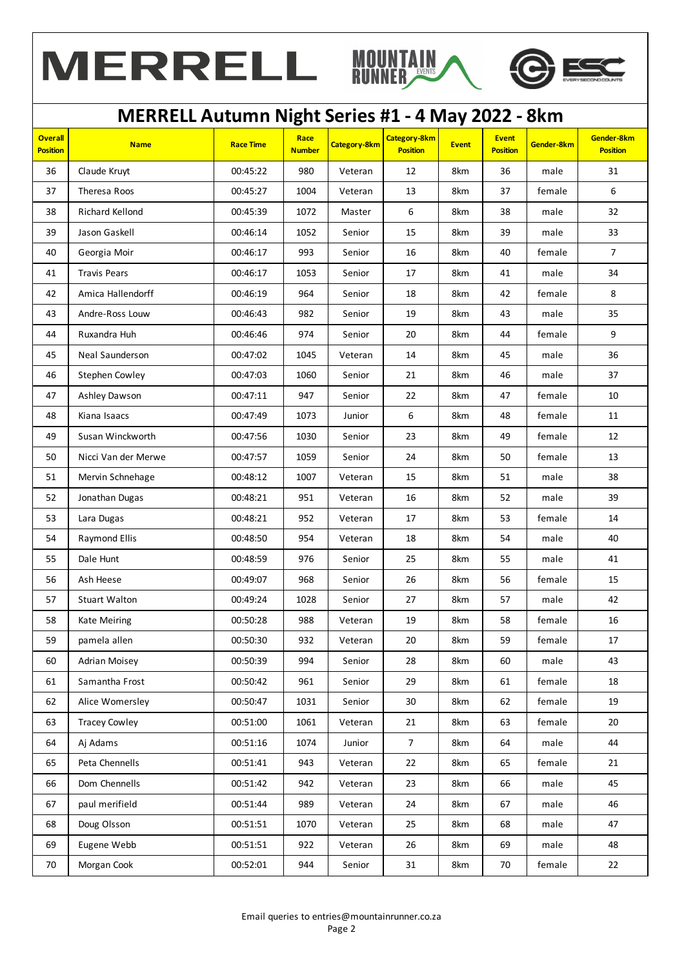





| <b>Overall</b><br><b>Position</b> | <b>Name</b>          | <b>Race Time</b> | Race<br><b>Number</b> | Category-8km | <b>Category-8km</b><br><b>Position</b> | <b>Event</b> | <b>Event</b><br><b>Position</b> | Gender-8km | Gender-8km<br><b>Position</b> |
|-----------------------------------|----------------------|------------------|-----------------------|--------------|----------------------------------------|--------------|---------------------------------|------------|-------------------------------|
| 36                                | Claude Kruyt         | 00:45:22         | 980                   | Veteran      | 12                                     | 8km          | 36                              | male       | 31                            |
| 37                                | Theresa Roos         | 00:45:27         | 1004                  | Veteran      | 13                                     | 8km          | 37                              | female     | $\,6\,$                       |
| 38                                | Richard Kellond      | 00:45:39         | 1072                  | Master       | 6                                      | 8km          | 38                              | male       | 32                            |
| 39                                | Jason Gaskell        | 00:46:14         | 1052                  | Senior       | 15                                     | 8km          | 39                              | male       | 33                            |
| 40                                | Georgia Moir         | 00:46:17         | 993                   | Senior       | 16                                     | 8km          | 40                              | female     | $\overline{7}$                |
| 41                                | <b>Travis Pears</b>  | 00:46:17         | 1053                  | Senior       | 17                                     | 8km          | 41                              | male       | 34                            |
| 42                                | Amica Hallendorff    | 00:46:19         | 964                   | Senior       | 18                                     | 8km          | 42                              | female     | 8                             |
| 43                                | Andre-Ross Louw      | 00:46:43         | 982                   | Senior       | 19                                     | 8km          | 43                              | male       | 35                            |
| 44                                | Ruxandra Huh         | 00:46:46         | 974                   | Senior       | 20                                     | 8km          | 44                              | female     | 9                             |
| 45                                | Neal Saunderson      | 00:47:02         | 1045                  | Veteran      | 14                                     | 8km          | 45                              | male       | 36                            |
| 46                                | Stephen Cowley       | 00:47:03         | 1060                  | Senior       | 21                                     | 8km          | 46                              | male       | 37                            |
| 47                                | Ashley Dawson        | 00:47:11         | 947                   | Senior       | 22                                     | 8km          | 47                              | female     | 10                            |
| 48                                | Kiana Isaacs         | 00:47:49         | 1073                  | Junior       | 6                                      | 8km          | 48                              | female     | 11                            |
| 49                                | Susan Winckworth     | 00:47:56         | 1030                  | Senior       | 23                                     | 8km          | 49                              | female     | 12                            |
| 50                                | Nicci Van der Merwe  | 00:47:57         | 1059                  | Senior       | 24                                     | 8km          | 50                              | female     | 13                            |
| 51                                | Mervin Schnehage     | 00:48:12         | 1007                  | Veteran      | 15                                     | 8km          | 51                              | male       | 38                            |
| 52                                | Jonathan Dugas       | 00:48:21         | 951                   | Veteran      | 16                                     | 8km          | 52                              | male       | 39                            |
| 53                                | Lara Dugas           | 00:48:21         | 952                   | Veteran      | 17                                     | 8km          | 53                              | female     | 14                            |
| 54                                | Raymond Ellis        | 00:48:50         | 954                   | Veteran      | 18                                     | 8km          | 54                              | male       | 40                            |
| 55                                | Dale Hunt            | 00:48:59         | 976                   | Senior       | 25                                     | 8km          | 55                              | male       | 41                            |
| 56                                | Ash Heese            | 00:49:07         | 968                   | Senior       | 26                                     | 8km          | 56                              | female     | 15                            |
| 57                                | <b>Stuart Walton</b> | 00:49:24         | 1028                  | Senior       | 27                                     | 8km          | 57                              | male       | 42                            |
| 58                                | Kate Meiring         | 00:50:28         | 988                   | Veteran      | 19                                     | 8km          | 58                              | female     | 16                            |
| 59                                | pamela allen         | 00:50:30         | 932                   | Veteran      | $20\,$                                 | 8km          | 59                              | female     | 17                            |
| 60                                | Adrian Moisey        | 00:50:39         | 994                   | Senior       | 28                                     | 8km          | 60                              | male       | 43                            |
| 61                                | Samantha Frost       | 00:50:42         | 961                   | Senior       | 29                                     | 8km          | 61                              | female     | 18                            |
| 62                                | Alice Womersley      | 00:50:47         | 1031                  | Senior       | 30                                     | 8km          | 62                              | female     | 19                            |
| 63                                | <b>Tracey Cowley</b> | 00:51:00         | 1061                  | Veteran      | 21                                     | 8km          | 63                              | female     | 20                            |
| 64                                | Aj Adams             | 00:51:16         | 1074                  | Junior       | $\overline{7}$                         | 8km          | 64                              | male       | 44                            |
| 65                                | Peta Chennells       | 00:51:41         | 943                   | Veteran      | 22                                     | 8km          | 65                              | female     | 21                            |
| 66                                | Dom Chennells        | 00:51:42         | 942                   | Veteran      | 23                                     | 8km          | 66                              | male       | 45                            |
| 67                                | paul merifield       | 00:51:44         | 989                   | Veteran      | 24                                     | 8km          | 67                              | male       | 46                            |
| 68                                | Doug Olsson          | 00:51:51         | 1070                  | Veteran      | 25                                     | 8km          | 68                              | male       | 47                            |
| 69                                | Eugene Webb          | 00:51:51         | 922                   | Veteran      | 26                                     | 8km          | 69                              | male       | 48                            |
| 70                                | Morgan Cook          | 00:52:01         | 944                   | Senior       | 31                                     | 8km          | 70                              | female     | 22                            |
|                                   |                      |                  |                       |              |                                        |              |                                 |            |                               |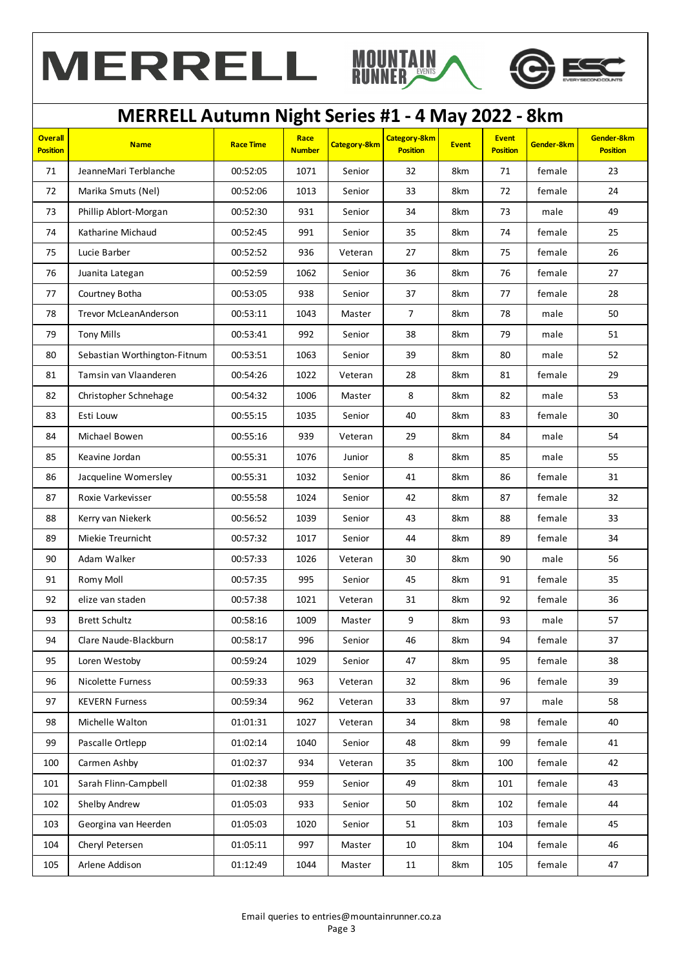





| <b>Overall</b><br><b>Position</b> | <b>Name</b>                  | <b>Race Time</b> | Race<br><b>Number</b> | <b>Category-8km</b> | <b>Category-8km</b><br><b>Position</b> | <b>Event</b> | <b>Event</b><br><b>Position</b> | Gender-8km | Gender-8km<br><b>Position</b> |
|-----------------------------------|------------------------------|------------------|-----------------------|---------------------|----------------------------------------|--------------|---------------------------------|------------|-------------------------------|
| 71                                | JeanneMari Terblanche        | 00:52:05         | 1071                  | Senior              | 32                                     | 8km          | 71                              | female     | 23                            |
| 72                                | Marika Smuts (Nel)           | 00:52:06         | 1013                  | Senior              | 33                                     | 8km          | 72                              | female     | 24                            |
| 73                                | Phillip Ablort-Morgan        | 00:52:30         | 931                   | Senior              | 34                                     | 8km          | 73                              | male       | 49                            |
| 74                                | Katharine Michaud            | 00:52:45         | 991                   | Senior              | 35                                     | 8km          | 74                              | female     | 25                            |
| 75                                | Lucie Barber                 | 00:52:52         | 936                   | Veteran             | 27                                     | 8km          | 75                              | female     | 26                            |
| 76                                | Juanita Lategan              | 00:52:59         | 1062                  | Senior              | 36                                     | 8km          | 76                              | female     | 27                            |
| 77                                | Courtney Botha               | 00:53:05         | 938                   | Senior              | 37                                     | 8km          | 77                              | female     | 28                            |
| 78                                | <b>Trevor McLeanAnderson</b> | 00:53:11         | 1043                  | Master              | $\overline{7}$                         | 8km          | 78                              | male       | 50                            |
| 79                                | <b>Tony Mills</b>            | 00:53:41         | 992                   | Senior              | 38                                     | 8km          | 79                              | male       | 51                            |
| 80                                | Sebastian Worthington-Fitnum | 00:53:51         | 1063                  | Senior              | 39                                     | 8km          | 80                              | male       | 52                            |
| 81                                | Tamsin van Vlaanderen        | 00:54:26         | 1022                  | Veteran             | 28                                     | 8km          | 81                              | female     | 29                            |
| 82                                | Christopher Schnehage        | 00:54:32         | 1006                  | Master              | 8                                      | 8km          | 82                              | male       | 53                            |
| 83                                | Esti Louw                    | 00:55:15         | 1035                  | Senior              | 40                                     | 8km          | 83                              | female     | 30                            |
| 84                                | Michael Bowen                | 00:55:16         | 939                   | Veteran             | 29                                     | 8km          | 84                              | male       | 54                            |
| 85                                | Keavine Jordan               | 00:55:31         | 1076                  | Junior              | 8                                      | 8km          | 85                              | male       | 55                            |
| 86                                | Jacqueline Womersley         | 00:55:31         | 1032                  | Senior              | 41                                     | 8km          | 86                              | female     | 31                            |
| 87                                | Roxie Varkevisser            | 00:55:58         | 1024                  | Senior              | 42                                     | 8km          | 87                              | female     | 32                            |
| 88                                | Kerry van Niekerk            | 00:56:52         | 1039                  | Senior              | 43                                     | 8km          | 88                              | female     | 33                            |
| 89                                | Miekie Treurnicht            | 00:57:32         | 1017                  | Senior              | 44                                     | 8km          | 89                              | female     | 34                            |
| 90                                | Adam Walker                  | 00:57:33         | 1026                  | Veteran             | 30                                     | 8km          | 90                              | male       | 56                            |
| 91                                | Romy Moll                    | 00:57:35         | 995                   | Senior              | 45                                     | 8km          | 91                              | female     | 35                            |
| 92                                | elize van staden             | 00:57:38         | 1021                  | Veteran             | 31                                     | 8km          | 92                              | female     | 36                            |
| 93                                | <b>Brett Schultz</b>         | 00:58:16         | 1009                  | Master              | 9                                      | 8km          | 93                              | male       | 57                            |
| 94                                | Clare Naude-Blackburn        | 00:58:17         | 996                   | Senior              | 46                                     | 8km          | 94                              | female     | 37                            |
| 95                                | Loren Westoby                | 00:59:24         | 1029                  | Senior              | 47                                     | 8km          | 95                              | female     | 38                            |
| 96                                | <b>Nicolette Furness</b>     | 00:59:33         | 963                   | Veteran             | 32                                     | 8km          | 96                              | female     | 39                            |
| 97                                | <b>KEVERN Furness</b>        | 00:59:34         | 962                   | Veteran             | 33                                     | 8km          | 97                              | male       | 58                            |
| 98                                | Michelle Walton              | 01:01:31         | 1027                  | Veteran             | 34                                     | 8km          | 98                              | female     | 40                            |
| 99                                | Pascalle Ortlepp             | 01:02:14         | 1040                  | Senior              | 48                                     | 8km          | 99                              | female     | 41                            |
| 100                               | Carmen Ashby                 | 01:02:37         | 934                   | Veteran             | 35                                     | 8km          | 100                             | female     | 42                            |
| 101                               | Sarah Flinn-Campbell         | 01:02:38         | 959                   | Senior              | 49                                     | 8km          | 101                             | female     | 43                            |
| 102                               | Shelby Andrew                | 01:05:03         | 933                   | Senior              | 50                                     | 8km          | 102                             | female     | 44                            |
| 103                               | Georgina van Heerden         | 01:05:03         | 1020                  | Senior              | 51                                     | 8km          | 103                             | female     | 45                            |
| 104                               | Cheryl Petersen              | 01:05:11         | 997                   | Master              | 10                                     | 8km          | 104                             | female     | 46                            |
| 105                               | Arlene Addison               | 01:12:49         | 1044                  | Master              | 11                                     | 8km          | 105                             | female     | 47                            |